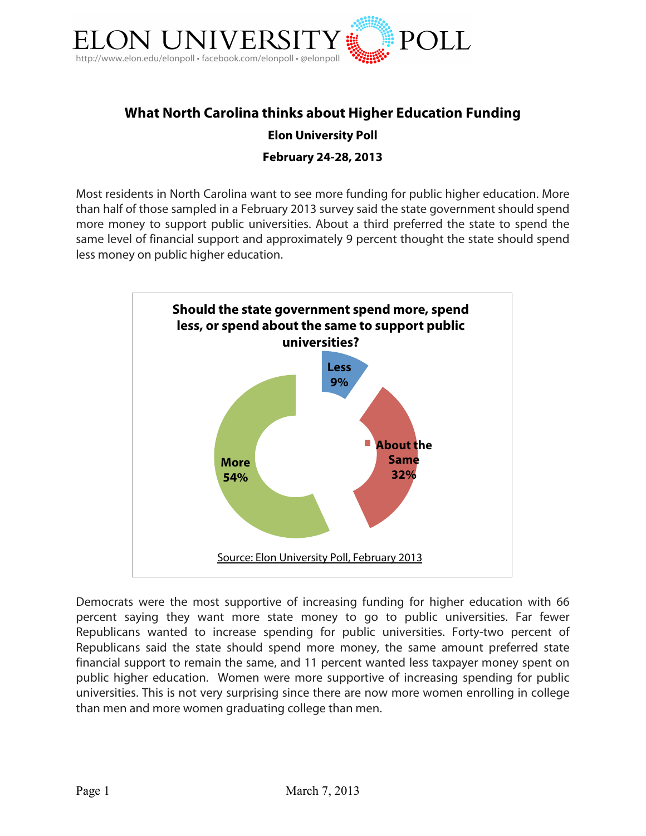

# **What North Carolina thinks about Higher Education Funding Elon University Poll**

### **February 24-28, 2013**

Most residents in North Carolina want to see more funding for public higher education. More than half of those sampled in a February 2013 survey said the state government should spend more money to support public universities. About a third preferred the state to spend the same level of financial support and approximately 9 percent thought the state should spend less money on public higher education.



Democrats were the most supportive of increasing funding for higher education with 66 percent saying they want more state money to go to public universities. Far fewer Republicans wanted to increase spending for public universities. Forty-two percent of Republicans said the state should spend more money, the same amount preferred state financial support to remain the same, and 11 percent wanted less taxpayer money spent on public higher education. Women were more supportive of increasing spending for public universities. This is not very surprising since there are now more women enrolling in college than men and more women graduating college than men.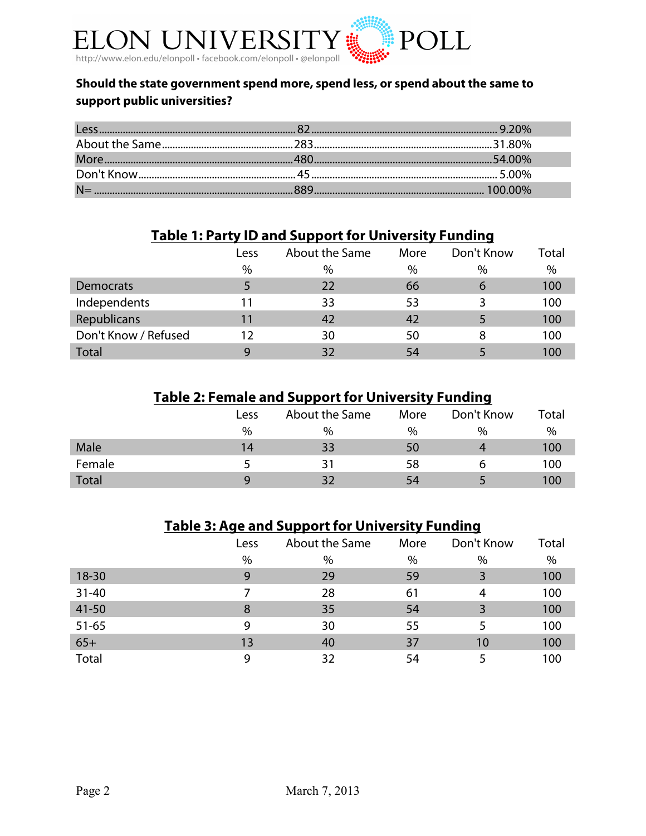

## **Should the state government spend more, spend less, or spend about the same to support public universities?**

# **Table 1: Party ID and Support for University Funding**

|                      | Less | About the Same | More | Don't Know | Total |
|----------------------|------|----------------|------|------------|-------|
|                      | $\%$ | $\%$           | $\%$ | $\%$       | $\%$  |
| Democrats            |      | 22             | 66   | 6          | 100   |
| Independents         | l 1  | 33             | 53   |            | 100   |
| Republicans          | 11   | 42             | 42   |            | 100   |
| Don't Know / Refused | 12   | 30             | 50   | 8          | 100   |
| <b>Total</b>         | q    | 32             | 54   |            | 100   |

# **Table 2: Female and Support for University Funding**

|        | Less | About the Same | More | Don't Know | Total |
|--------|------|----------------|------|------------|-------|
|        | %    | $\%$           | $\%$ | $\%$       | %     |
| Male   | 14   | 33             | 50   |            | 100   |
| Female |      | ٦1             | 58   |            | 100   |
| Total  | Q    |                | 54   |            | 100   |

# **Table 3: Age and Support for University Funding**

|           | Less | About the Same | More | Don't Know | Total |
|-----------|------|----------------|------|------------|-------|
|           | $\%$ | $\%$           | $\%$ | $\%$       | %     |
| $18 - 30$ | 9    | 29             | 59   | 3          | 100   |
| $31 - 40$ |      | 28             | 61   | 4          | 100   |
| $41 - 50$ | 8    | 35             | 54   | 3          | 100   |
| $51 - 65$ | 9    | 30             | 55   | 5          | 100   |
| $65+$     | 13   | 40             | 37   | 10         | 100   |
| Total     | 9    | 32             | 54   |            | 100   |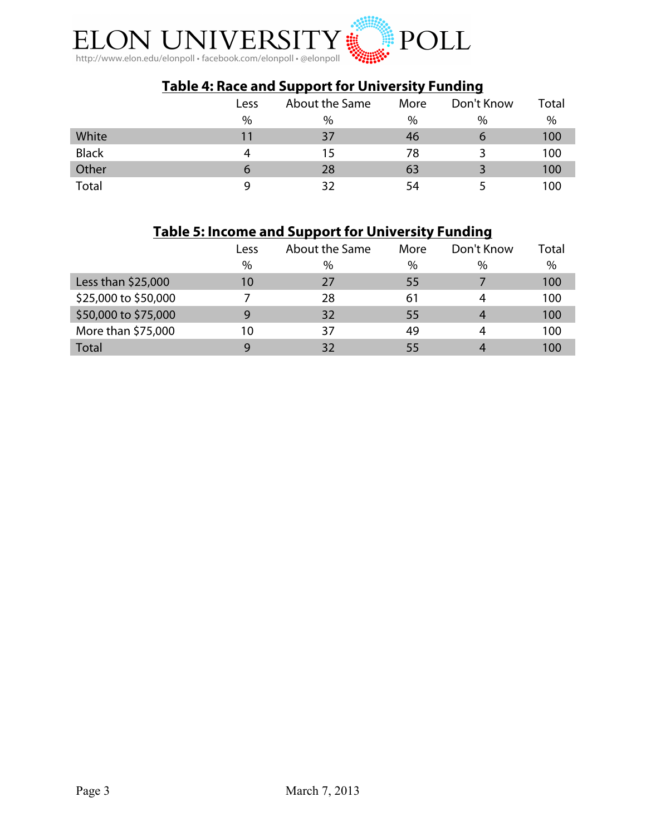

# **Table 4: Race and Support for University Funding**

|              | Less        | About the Same | More | Don't Know    | Total |
|--------------|-------------|----------------|------|---------------|-------|
|              | $\%$        | $\%$           | %    | $\frac{0}{0}$ | %     |
| White        | 11          | 37             | 46   | O             | 100   |
| <b>Black</b> |             | 15             | 78   |               | 100   |
| Other        | $\mathbf b$ | 28             | 63   |               | 100   |
| Total        |             | 32             | 54   |               | 100   |

# **Table 5: Income and Support for University Funding**

|                      | Less | About the Same | More | Don't Know | Total |
|----------------------|------|----------------|------|------------|-------|
|                      | $\%$ | $\%$           | $\%$ | $\%$       | %     |
| Less than \$25,000   | 10   | 27             | 55   |            | 100   |
| \$25,000 to \$50,000 |      | 28             | 61   | 4          | 100   |
| \$50,000 to \$75,000 | 9    | 32             | 55   | 4          | 100   |
| More than \$75,000   | 10   | 37             | 49   | 4          | 100   |
| <b>Total</b>         | q    | 32             | 55   |            | 100   |